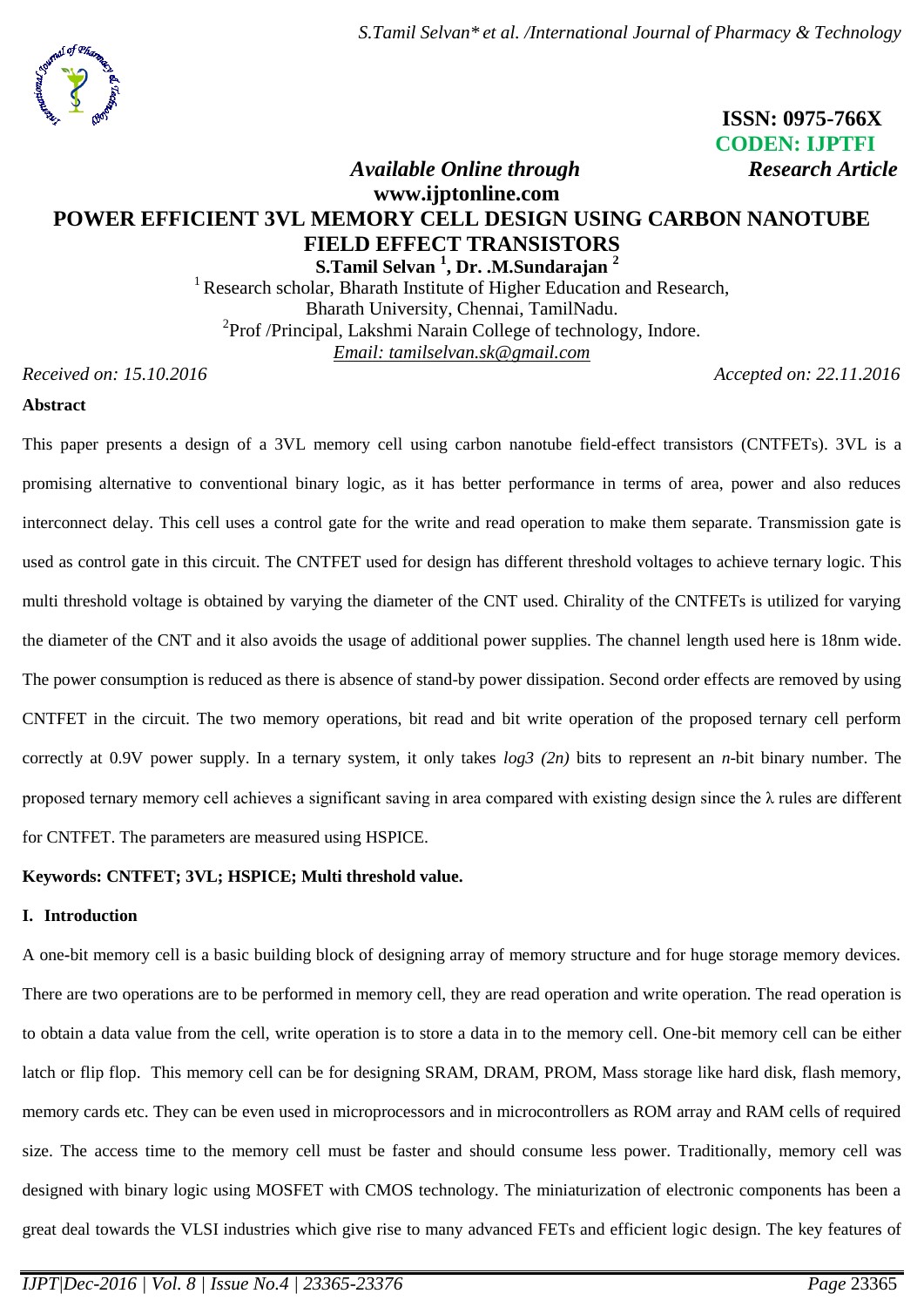

# **ISSN: 0975-766X CODEN: IJPTFI**  *Available Online through Research Article*

# **www.ijptonline.com POWER EFFICIENT 3VL MEMORY CELL DESIGN USING CARBON NANOTUBE FIELD EFFECT TRANSISTORS S.Tamil Selvan <sup>1</sup> , Dr. .M.Sundarajan <sup>2</sup>**

<sup>1</sup> Research scholar, Bharath Institute of Higher Education and Research, Bharath University, Chennai, TamilNadu. <sup>2</sup>Prof /Principal, Lakshmi Narain College of technology, Indore. *Email: tamilselvan.sk@gmail.com*

*Received on: 15.10.2016 Accepted on: 22.11.2016* 

## **Abstract**

This paper presents a design of a 3VL memory cell using carbon nanotube field-effect transistors (CNTFETs). 3VL is a promising alternative to conventional binary logic, as it has better performance in terms of area, power and also reduces interconnect delay. This cell uses a control gate for the write and read operation to make them separate. Transmission gate is used as control gate in this circuit. The CNTFET used for design has different threshold voltages to achieve ternary logic. This multi threshold voltage is obtained by varying the diameter of the CNT used. Chirality of the CNTFETs is utilized for varying the diameter of the CNT and it also avoids the usage of additional power supplies. The channel length used here is 18nm wide. The power consumption is reduced as there is absence of stand-by power dissipation. Second order effects are removed by using CNTFET in the circuit. The two memory operations, bit read and bit write operation of the proposed ternary cell perform correctly at 0.9V power supply. In a ternary system, it only takes *log3 (2n)* bits to represent an *n*-bit binary number. The proposed ternary memory cell achieves a significant saving in area compared with existing design since the λ rules are different for CNTFET. The parameters are measured using HSPICE.

# **Keywords: CNTFET; 3VL; HSPICE; Multi threshold value.**

#### **I. Introduction**

A one**-**bit memory cell is a basic building block of designing array of memory structure and for huge storage memory devices. There are two operations are to be performed in memory cell, they are read operation and write operation. The read operation is to obtain a data value from the cell, write operation is to store a data in to the memory cell. One-bit memory cell can be either latch or flip flop. This memory cell can be for designing SRAM, DRAM, PROM, Mass storage like hard disk, flash memory, memory cards etc. They can be even used in microprocessors and in microcontrollers as ROM array and RAM cells of required size. The access time to the memory cell must be faster and should consume less power. Traditionally, memory cell was designed with binary logic using MOSFET with CMOS technology. The miniaturization of electronic components has been a great deal towards the VLSI industries which give rise to many advanced FETs and efficient logic design. The key features of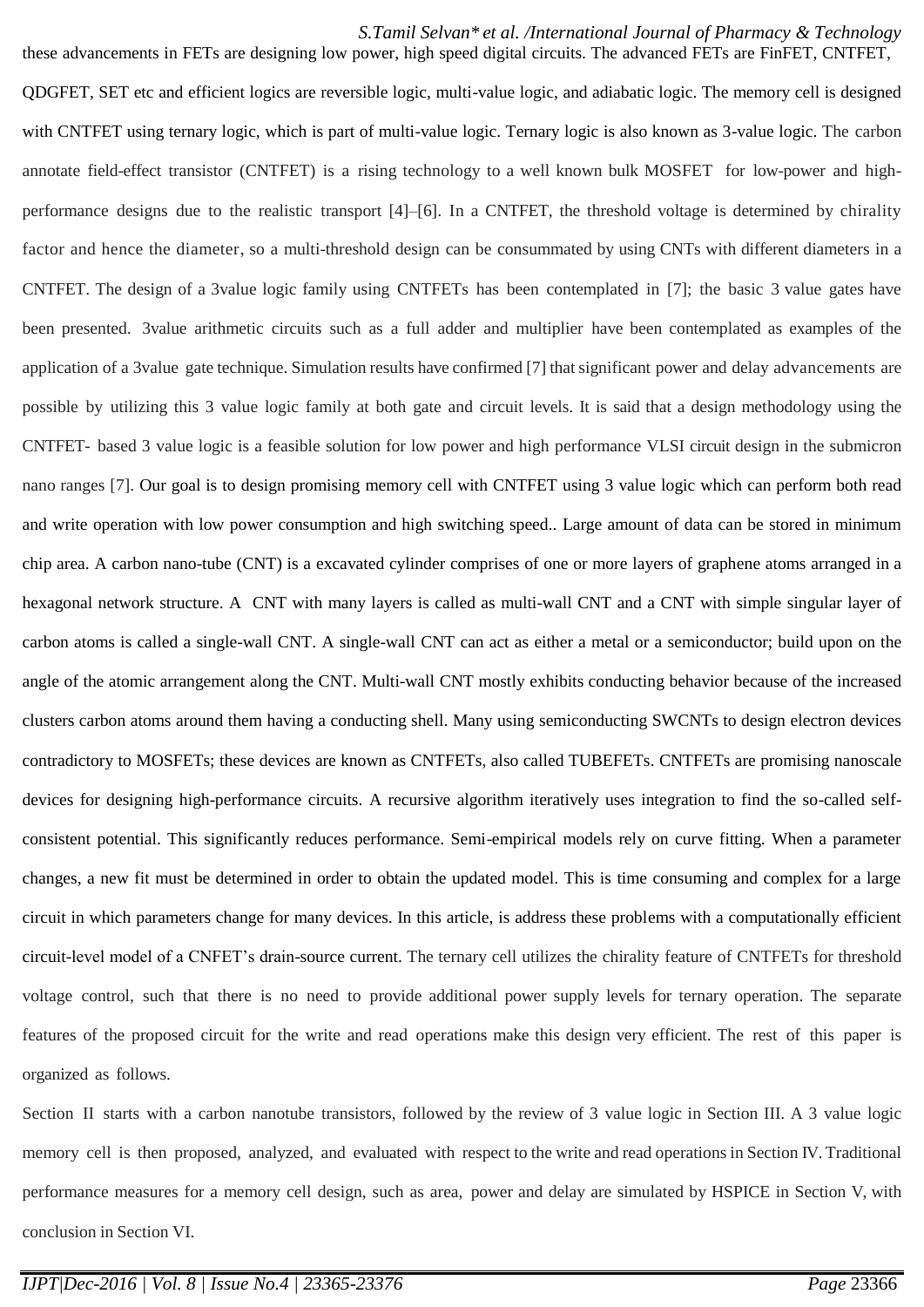## *S.Tamil Selvan\* et al. /International Journal of Pharmacy & Technology*

these advancements in FETs are designing low power, high speed digital circuits. The advanced FETs are FinFET, CNTFET, QDGFET, SET etc and efficient logics are reversible logic, multi-value logic, and adiabatic logic. The memory cell is designed with CNTFET using ternary logic, which is part of multi-value logic. Ternary logic is also known as 3-value logic. The carbon annotate field-effect transistor (CNTFET) is a rising technology to a well known bulk MOSFET for low-power and highperformance designs due to the realistic transport [4]–[6]. In a CNTFET, the threshold voltage is determined by chirality factor and hence the diameter, so a multi-threshold design can be consummated by using CNTs with different diameters in a CNTFET. The design of a 3value logic family using CNTFETs has been contemplated in [7]; the basic 3 value gates have been presented. 3value arithmetic circuits such as a full adder and multiplier have been contemplated as examples of the application of a 3value gate technique. Simulation results have confirmed [7] thatsignificant power and delay advancements are possible by utilizing this 3 value logic family at both gate and circuit levels. It is said that a design methodology using the CNTFET- based 3 value logic is a feasible solution for low power and high performance VLSI circuit design in the submicron nano ranges [7]. Our goal is to design promising memory cell with CNTFET using 3 value logic which can perform both read and write operation with low power consumption and high switching speed.. Large amount of data can be stored in minimum chip area. A carbon nano-tube (CNT) is a excavated cylinder comprises of one or more layers of graphene atoms arranged in a hexagonal network structure. A CNT with many layers is called as multi-wall CNT and a CNT with simple singular layer of carbon atoms is called a single-wall CNT. A single-wall CNT can act as either a metal or a semiconductor; build upon on the angle of the atomic arrangement along the CNT. Multi-wall CNT mostly exhibits conducting behavior because of the increased clusters carbon atoms around them having a conducting shell. Many using semiconducting SWCNTs to design electron devices contradictory to MOSFETs; these devices are known as CNTFETs, also called TUBEFETs. CNTFETs are promising nanoscale devices for designing high-performance circuits. A recursive algorithm iteratively uses integration to find the so-called selfconsistent potential. This significantly reduces performance. Semi-empirical models rely on curve fitting. When a parameter changes, a new fit must be determined in order to obtain the updated model. This is time consuming and complex for a large circuit in which parameters change for many devices. In this article, is address these problems with a computationally efficient circuit-level model of a CNFET's drain-source current. The ternary cell utilizes the chirality feature of CNTFETs for threshold voltage control, such that there is no need to provide additional power supply levels for ternary operation. The separate features of the proposed circuit for the write and read operations make this design very efficient. The rest of this paper is organized as follows.

Section II starts with a carbon nanotube transistors, followed by the review of 3 value logic in Section III. A 3 value logic memory cell is then proposed, analyzed, and evaluated with respect to the write and read operations in Section IV. Traditional performance measures for a memory cell design, such as area, power and delay are simulated by HSPICE in Section V, with conclusion in Section VI.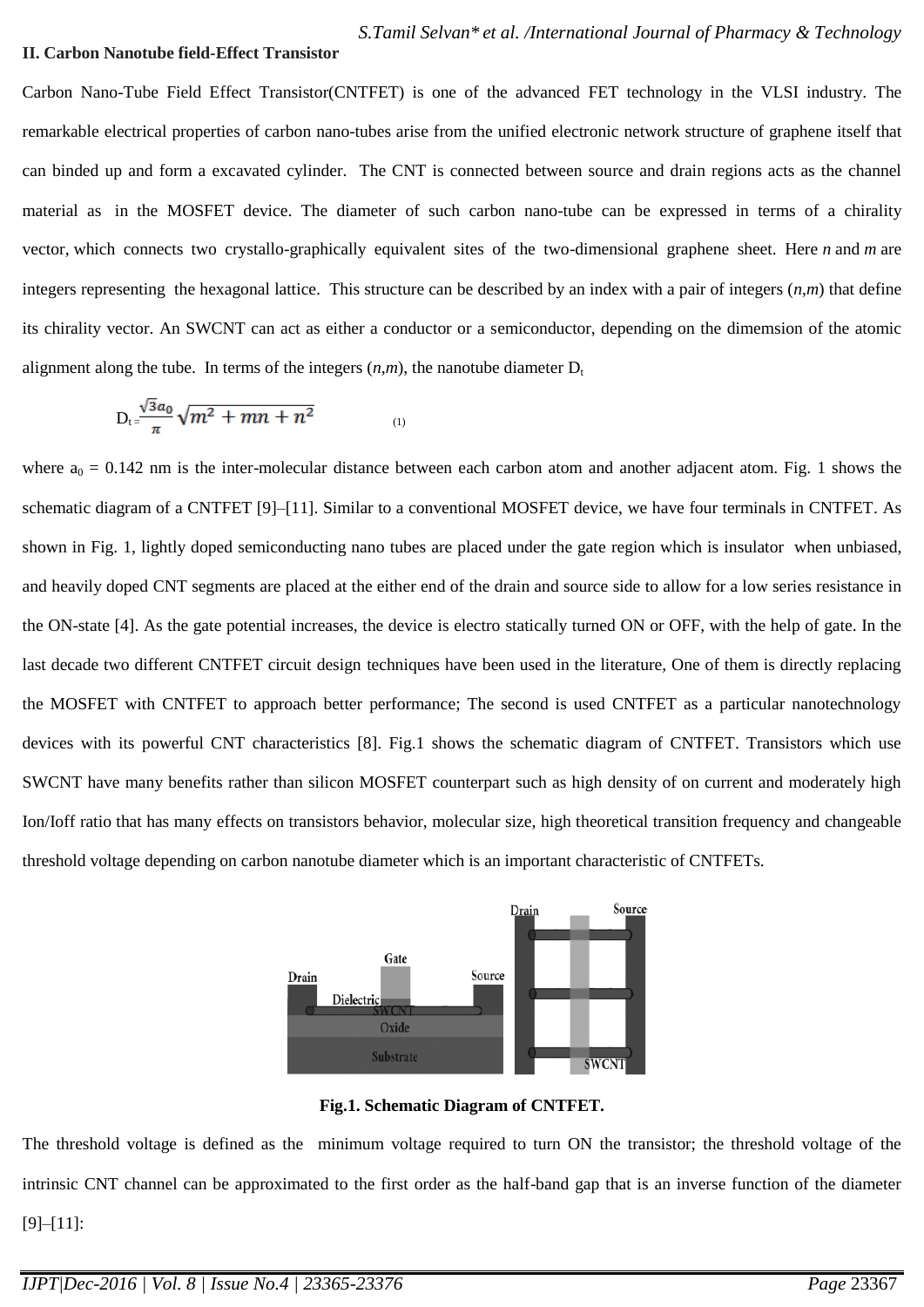#### **II. Carbon Nanotube field-Effect Transistor**

Carbon Nano-Tube Field Effect Transistor(CNTFET) is one of the advanced FET technology in the VLSI industry. The remarkable electrical properties of carbon nano-tubes arise from the unified electronic network structure of graphene itself that can binded up and form a excavated cylinder. The CNT is connected between source and drain regions acts as the channel material as in the MOSFET device. The diameter of such carbon nano-tube can be expressed in terms of a chirality vector, which connects two crystallo-graphically equivalent sites of the two-dimensional graphene sheet. Here *n* and *m* are integers representing the hexagonal lattice. This structure can be described by an index with a pair of integers (*n*,*m*) that define its chirality vector. An SWCNT can act as either a conductor or a semiconductor, depending on the dimemsion of the atomic alignment along the tube. In terms of the integers  $(n,m)$ , the nanotube diameter  $D_t$ 

$$
D_{t} = \frac{\sqrt{3}a_0}{\pi} \sqrt{m^2 + mn + n^2} \tag{1}
$$

where  $a_0 = 0.142$  nm is the inter-molecular distance between each carbon atom and another adjacent atom. Fig. 1 shows the schematic diagram of a CNTFET [9]–[11]. Similar to a conventional MOSFET device, we have four terminals in CNTFET. As shown in Fig. 1, lightly doped semiconducting nano tubes are placed under the gate region which is insulator when unbiased, and heavily doped CNT segments are placed at the either end of the drain and source side to allow for a low series resistance in the ON-state [4]. As the gate potential increases, the device is electro statically turned ON or OFF, with the help of gate. In the last decade two different CNTFET circuit design techniques have been used in the literature, One of them is directly replacing the MOSFET with CNTFET to approach better performance; The second is used CNTFET as a particular nanotechnology devices with its powerful CNT characteristics [8]. Fig.1 shows the schematic diagram of CNTFET. Transistors which use SWCNT have many benefits rather than silicon MOSFET counterpart such as high density of on current and moderately high Ion/Ioff ratio that has many effects on transistors behavior, molecular size, high theoretical transition frequency and changeable threshold voltage depending on carbon nanotube diameter which is an important characteristic of CNTFETs.



**Fig.1. Schematic Diagram of CNTFET.**

The threshold voltage is defined as the minimum voltage required to turn ON the transistor; the threshold voltage of the intrinsic CNT channel can be approximated to the first order as the half-band gap that is an inverse function of the diameter [9]–[11]: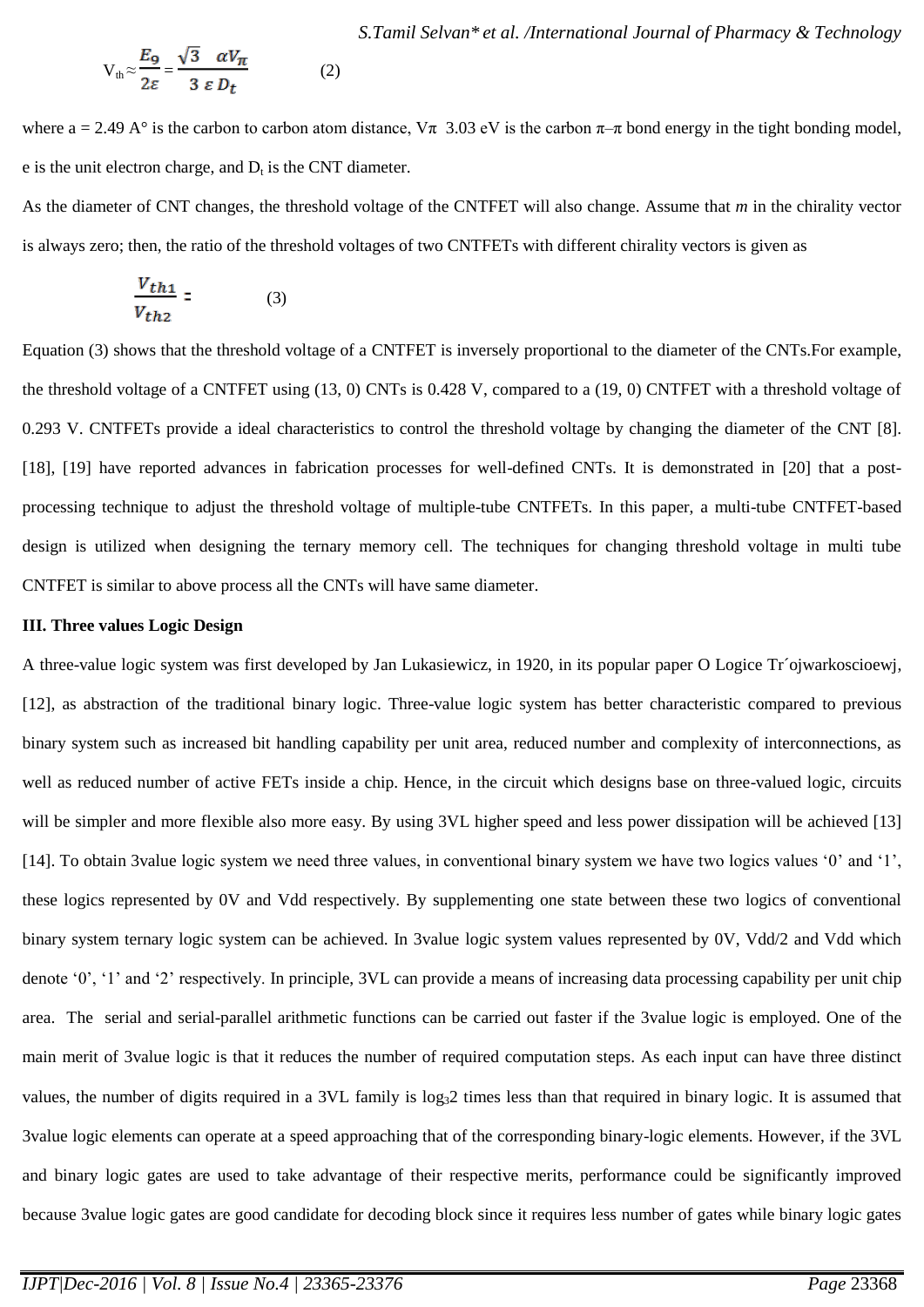$$
V_{th} \approx \frac{E_9}{2\varepsilon} = \frac{\sqrt{3} \alpha V_{\pi}}{3 \varepsilon D_t}
$$
 (2)

where a = 2.49 A° is the carbon to carbon atom distance,  $\nabla \pi$  3.03 eV is the carbon  $\pi-\pi$  bond energy in the tight bonding model, e is the unit electron charge, and  $D_t$  is the CNT diameter.

As the diameter of CNT changes, the threshold voltage of the CNTFET will also change. Assume that *m* in the chirality vector is always zero; then, the ratio of the threshold voltages of two CNTFETs with different chirality vectors is given as

$$
\frac{V_{th1}}{V_{th2}} = \t(3)
$$

Equation (3) shows that the threshold voltage of a CNTFET is inversely proportional to the diameter of the CNTs.For example, the threshold voltage of a CNTFET using (13, 0) CNTs is 0.428 V, compared to a (19, 0) CNTFET with a threshold voltage of 0.293 V. CNTFETs provide a ideal characteristics to control the threshold voltage by changing the diameter of the CNT [8]. [18], [19] have reported advances in fabrication processes for well-defined CNTs. It is demonstrated in [20] that a postprocessing technique to adjust the threshold voltage of multiple-tube CNTFETs. In this paper, a multi-tube CNTFET-based design is utilized when designing the ternary memory cell. The techniques for changing threshold voltage in multi tube CNTFET is similar to above process all the CNTs will have same diameter.

## **III. Three values Logic Design**

A three-value logic system was first developed by Jan Lukasiewicz, in 1920, in its popular paper O Logice Tr´ojwarkoscioewj, [12], as abstraction of the traditional binary logic. Three-value logic system has better characteristic compared to previous binary system such as increased bit handling capability per unit area, reduced number and complexity of interconnections, as well as reduced number of active FETs inside a chip. Hence, in the circuit which designs base on three-valued logic, circuits will be simpler and more flexible also more easy. By using 3VL higher speed and less power dissipation will be achieved [13] [14]. To obtain 3value logic system we need three values, in conventional binary system we have two logics values ‗0' and ‗1', these logics represented by 0V and Vdd respectively. By supplementing one state between these two logics of conventional binary system ternary logic system can be achieved. In 3value logic system values represented by 0V, Vdd/2 and Vdd which denote  $0'$ ,  $1'$  and  $2'$  respectively. In principle, 3VL can provide a means of increasing data processing capability per unit chip area. The serial and serial-parallel arithmetic functions can be carried out faster if the 3value logic is employed. One of the main merit of 3value logic is that it reduces the number of required computation steps. As each input can have three distinct values, the number of digits required in a 3VL family is  $log<sub>3</sub>2$  times less than that required in binary logic. It is assumed that 3value logic elements can operate at a speed approaching that of the corresponding binary-logic elements. However, if the 3VL and binary logic gates are used to take advantage of their respective merits, performance could be significantly improved because 3value logic gates are good candidate for decoding block since it requires less number of gates while binary logic gates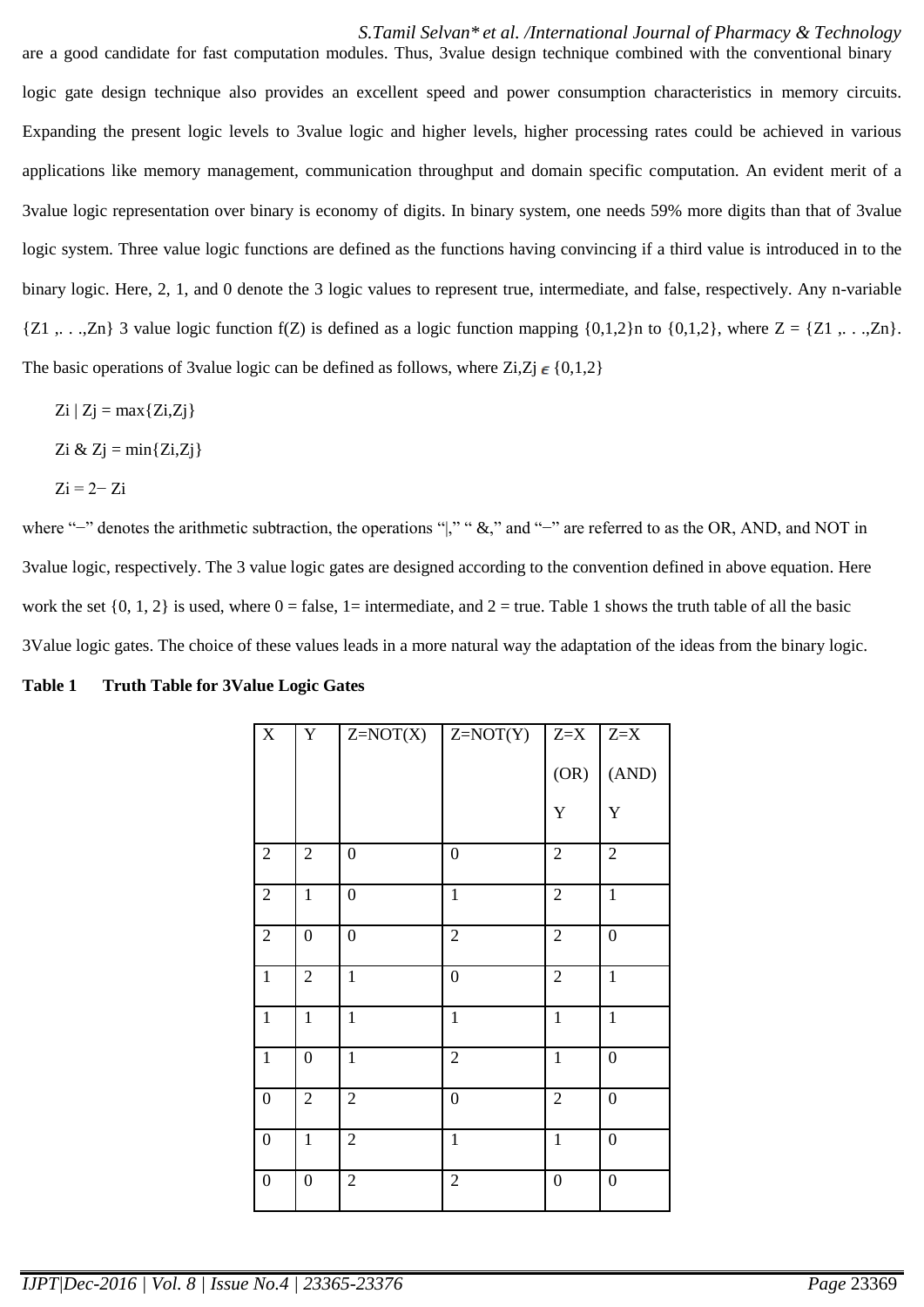# *S.Tamil Selvan\* et al. /International Journal of Pharmacy & Technology*

are a good candidate for fast computation modules. Thus, 3value design technique combined with the conventional binary logic gate design technique also provides an excellent speed and power consumption characteristics in memory circuits. Expanding the present logic levels to 3value logic and higher levels, higher processing rates could be achieved in various applications like memory management, communication throughput and domain specific computation. An evident merit of a 3value logic representation over binary is economy of digits. In binary system, one needs 59% more digits than that of 3value logic system. Three value logic functions are defined as the functions having convincing if a third value is introduced in to the binary logic. Here, 2, 1, and 0 denote the 3 logic values to represent true, intermediate, and false, respectively. Any n-variable  ${Z1, \ldots, Zn}$  3 value logic function f(Z) is defined as a logic function mapping  ${0,1,2}$  to  ${0,1,2}$ , where  $Z = {Z1, \ldots, Zn}$ . The basic operations of 3value logic can be defined as follows, where  $Z_i, Z_j \in \{0,1,2\}$ 

- $Zi | Zj = max{Zi, Zj}$
- Zi &  $Z$ j = min $\{Z_i, Z_j\}$
- $Zi = 2-Zi$

where "–" denotes the arithmetic subtraction, the operations "," " &," and "–" are referred to as the OR, AND, and NOT in 3value logic, respectively. The 3 value logic gates are designed according to the convention defined in above equation. Here work the set  $\{0, 1, 2\}$  is used, where  $0 =$  false,  $1 =$  intermediate, and  $2 =$  true. Table 1 shows the truth table of all the basic 3Value logic gates. The choice of these values leads in a more natural way the adaptation of the ideas from the binary logic.

| Table 1 | <b>Truth Table for 3Value Logic Gates</b> |  |  |  |  |  |
|---------|-------------------------------------------|--|--|--|--|--|
|---------|-------------------------------------------|--|--|--|--|--|

| $\mathbf X$      | Y                | $Z=NOT(X)$       | $Z=NOT(Y)$       | $Z = X$          | $Z = X$          |
|------------------|------------------|------------------|------------------|------------------|------------------|
|                  |                  |                  |                  | (OR)             | (AND)            |
|                  |                  |                  |                  | Y                | Y                |
| $\sqrt{2}$       | $\sqrt{2}$       | $\boldsymbol{0}$ | $\boldsymbol{0}$ | $\sqrt{2}$       | $\sqrt{2}$       |
| $\sqrt{2}$       | $\mathbf{1}$     | $\boldsymbol{0}$ | $\mathbf{1}$     | $\overline{2}$   | $\mathbf{1}$     |
| $\overline{2}$   | $\boldsymbol{0}$ | $\boldsymbol{0}$ | $\sqrt{2}$       | $\overline{2}$   | $\boldsymbol{0}$ |
| $\,1$            | $\sqrt{2}$       | $\mathbf{1}$     | $\boldsymbol{0}$ | $\overline{2}$   | $\mathbf{1}$     |
| $\mathbf{1}$     | $\mathbf{1}$     | $\mathbf{1}$     | $\mathbf{1}$     | $\mathbf{1}$     | $\mathbf{1}$     |
| $\mathbf 1$      | $\boldsymbol{0}$ | $\mathbf{1}$     | $\overline{2}$   | $\mathbf{1}$     | $\boldsymbol{0}$ |
| $\boldsymbol{0}$ | $\mathbf{2}$     | $\mathbf{2}$     | $\boldsymbol{0}$ | $\sqrt{2}$       | $\boldsymbol{0}$ |
| $\boldsymbol{0}$ | $\mathbf{1}$     | $\sqrt{2}$       | $\mathbf{1}$     | $\,1\,$          | $\boldsymbol{0}$ |
| $\boldsymbol{0}$ | $\boldsymbol{0}$ | $\sqrt{2}$       | $\sqrt{2}$       | $\boldsymbol{0}$ | $\boldsymbol{0}$ |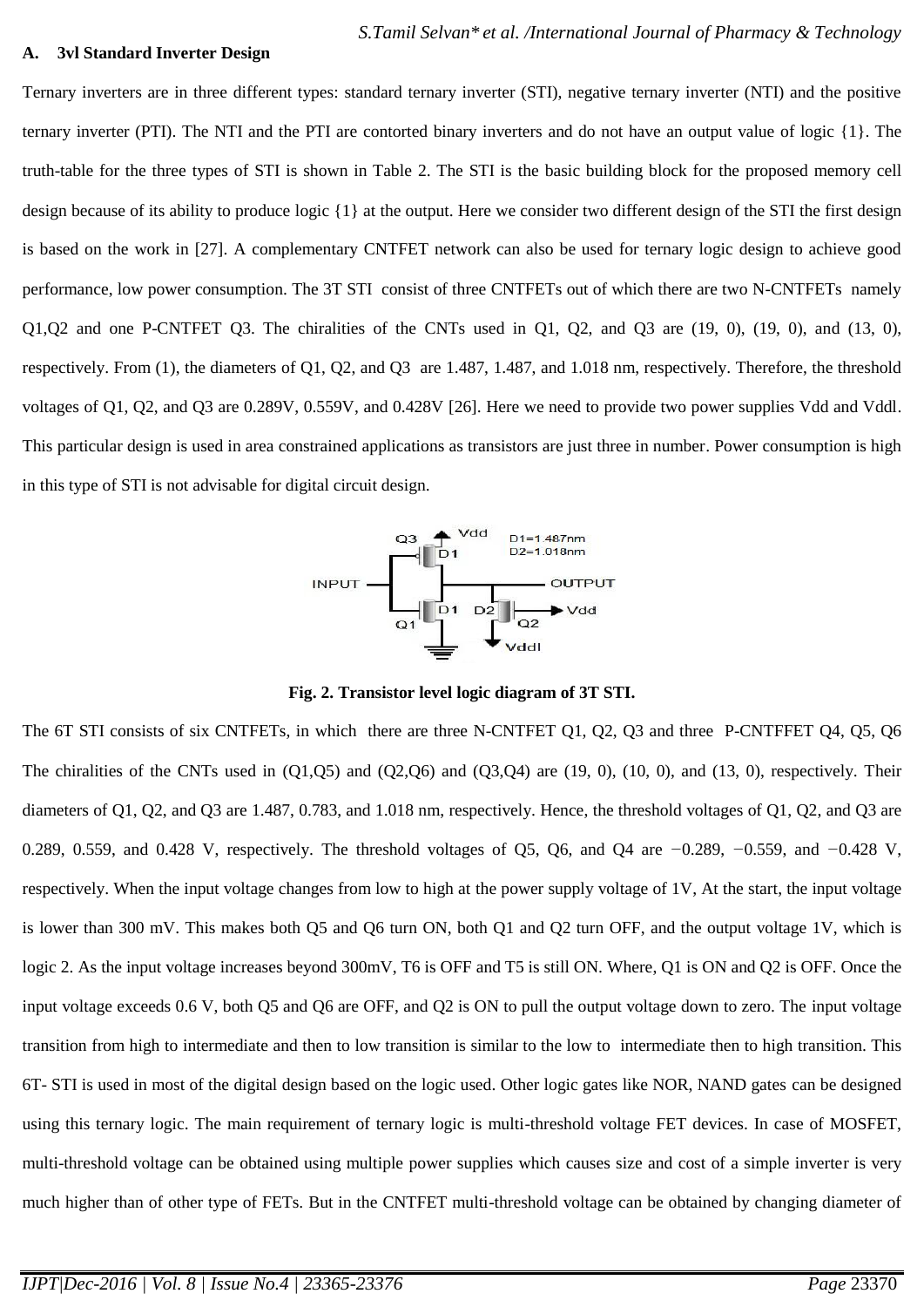#### **A. 3vl Standard Inverter Design**

Ternary inverters are in three different types: standard ternary inverter (STI), negative ternary inverter (NTI) and the positive ternary inverter (PTI). The NTI and the PTI are contorted binary inverters and do not have an output value of logic {1}. The truth-table for the three types of STI is shown in Table 2. The STI is the basic building block for the proposed memory cell design because of its ability to produce logic {1} at the output. Here we consider two different design of the STI the first design is based on the work in [27]. A complementary CNTFET network can also be used for ternary logic design to achieve good performance, low power consumption. The 3T STI consist of three CNTFETs out of which there are two N-CNTFETs namely Q1,Q2 and one P-CNTFET Q3. The chiralities of the CNTs used in Q1, Q2, and Q3 are (19, 0), (19, 0), and (13, 0), respectively. From (1), the diameters of Q1, Q2, and Q3 are 1.487, 1.487, and 1.018 nm, respectively. Therefore, the threshold voltages of Q1, Q2, and Q3 are 0.289V, 0.559V, and 0.428V [26]. Here we need to provide two power supplies Vdd and Vddl. This particular design is used in area constrained applications as transistors are just three in number. Power consumption is high in this type of STI is not advisable for digital circuit design.



**Fig. 2. Transistor level logic diagram of 3T STI.**

The 6T STI consists of six CNTFETs, in which there are three N-CNTFET Q1, Q2, Q3 and three P-CNTFFET Q4, Q5, Q6 The chiralities of the CNTs used in  $(Q1, Q5)$  and  $(Q2, Q6)$  and  $(Q3, Q4)$  are  $(19, 0)$ ,  $(10, 0)$ , and  $(13, 0)$ , respectively. Their diameters of Q1, Q2, and Q3 are 1.487, 0.783, and 1.018 nm, respectively. Hence, the threshold voltages of Q1, Q2, and Q3 are 0.289, 0.559, and 0.428 V, respectively. The threshold voltages of Q5, Q6, and Q4 are *−*0.289, *−*0.559, and *−*0.428 V, respectively. When the input voltage changes from low to high at the power supply voltage of 1V, At the start, the input voltage is lower than 300 mV. This makes both Q5 and Q6 turn ON, both Q1 and Q2 turn OFF, and the output voltage 1V, which is logic 2. As the input voltage increases beyond 300mV, T6 is OFF and T5 is still ON. Where, Q1 is ON and Q2 is OFF. Once the input voltage exceeds 0.6 V, both Q5 and Q6 are OFF, and Q2 is ON to pull the output voltage down to zero. The input voltage transition from high to intermediate and then to low transition is similar to the low to intermediate then to high transition. This 6T- STI is used in most of the digital design based on the logic used. Other logic gates like NOR, NAND gates can be designed using this ternary logic. The main requirement of ternary logic is multi-threshold voltage FET devices. In case of MOSFET, multi-threshold voltage can be obtained using multiple power supplies which causes size and cost of a simple inverter is very much higher than of other type of FETs. But in the CNTFET multi-threshold voltage can be obtained by changing diameter of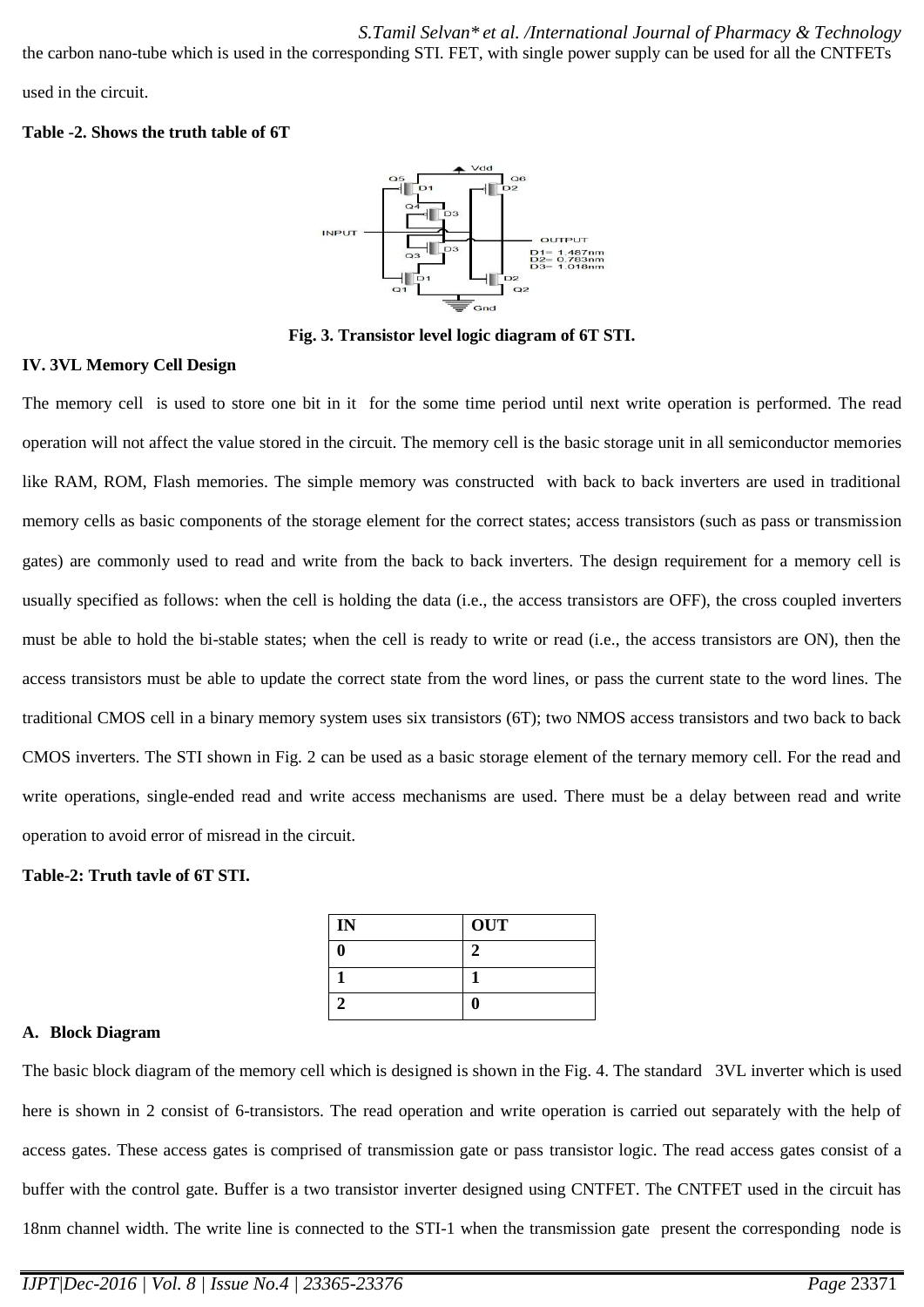the carbon nano-tube which is used in the corresponding STI. FET, with single power supply can be used for all the CNTFETs

used in the circuit.

## **Table -2. Shows the truth table of 6T**



**Fig. 3. Transistor level logic diagram of 6T STI.**

# **IV. 3VL Memory Cell Design**

The memory cell is used to store one bit in it for the some time period until next write operation is performed. The read operation will not affect the value stored in the circuit. The memory cell is the basic storage unit in all semiconductor memories like RAM, ROM, Flash memories. The simple memory was constructed with back to back inverters are used in traditional memory cells as basic components of the storage element for the correct states; access transistors (such as pass or transmission gates) are commonly used to read and write from the back to back inverters. The design requirement for a memory cell is usually specified as follows: when the cell is holding the data (i.e., the access transistors are OFF), the cross coupled inverters must be able to hold the bi-stable states; when the cell is ready to write or read (i.e., the access transistors are ON), then the access transistors must be able to update the correct state from the word lines, or pass the current state to the word lines. The traditional CMOS cell in a binary memory system uses six transistors (6T); two NMOS access transistors and two back to back CMOS inverters. The STI shown in Fig. 2 can be used as a basic storage element of the ternary memory cell. For the read and write operations, single-ended read and write access mechanisms are used. There must be a delay between read and write operation to avoid error of misread in the circuit.

# **Table-2: Truth tavle of 6T STI.**

| IN | <b>OUT</b> |
|----|------------|
| 0  |            |
|    |            |
| 2  | u          |

#### **A. Block Diagram**

The basic block diagram of the memory cell which is designed is shown in the Fig. 4. The standard 3VL inverter which is used here is shown in 2 consist of 6-transistors. The read operation and write operation is carried out separately with the help of access gates. These access gates is comprised of transmission gate or pass transistor logic. The read access gates consist of a buffer with the control gate. Buffer is a two transistor inverter designed using CNTFET. The CNTFET used in the circuit has 18nm channel width. The write line is connected to the STI-1 when the transmission gate present the corresponding node is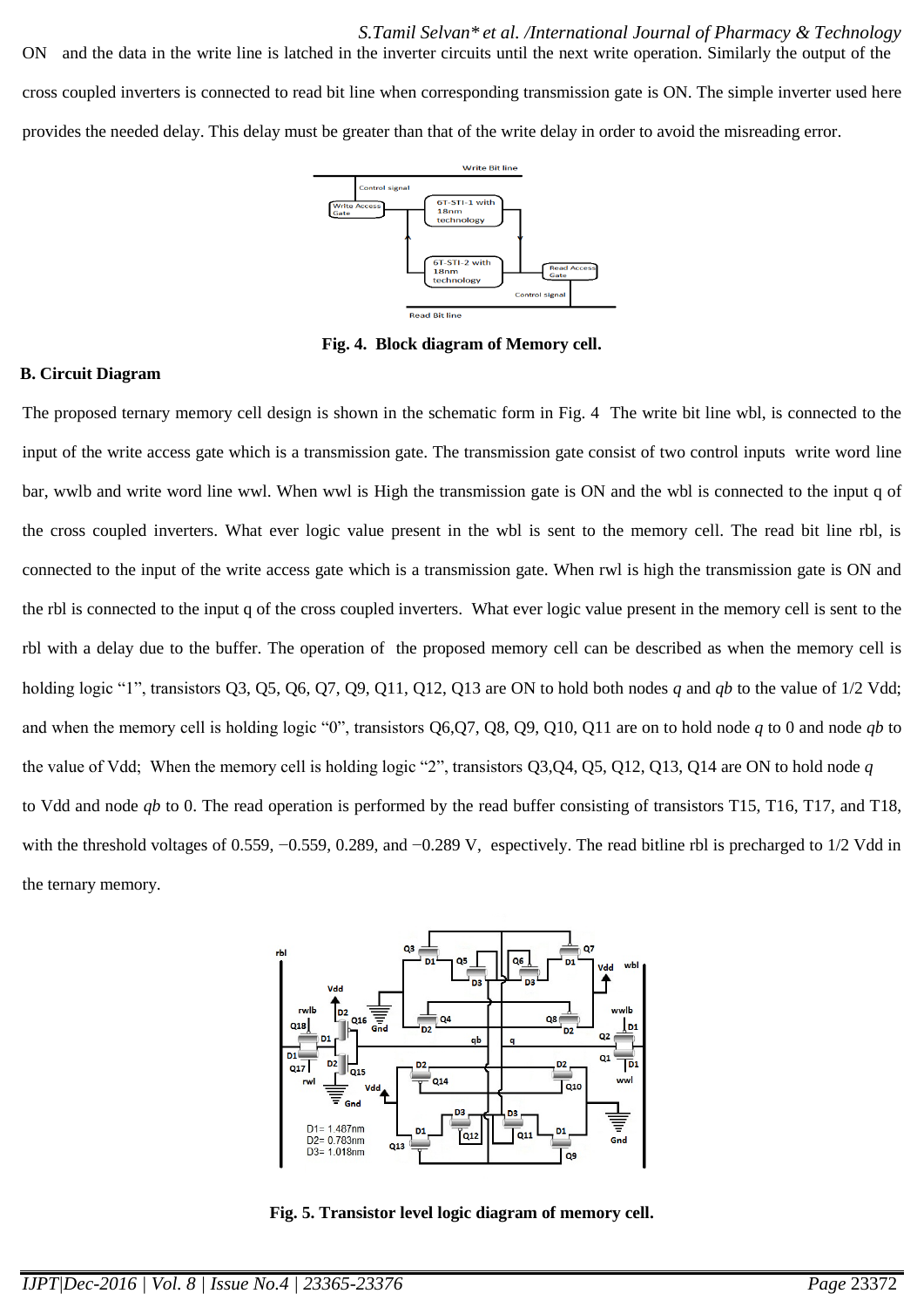*S.Tamil Selvan\* et al. /International Journal of Pharmacy & Technology* ON and the data in the write line is latched in the inverter circuits until the next write operation. Similarly the output of the cross coupled inverters is connected to read bit line when corresponding transmission gate is ON. The simple inverter used here provides the needed delay. This delay must be greater than that of the write delay in order to avoid the misreading error.



**Fig. 4. Block diagram of Memory cell.**

#### **B. Circuit Diagram**

The proposed ternary memory cell design is shown in the schematic form in Fig. 4 The write bit line wbl, is connected to the input of the write access gate which is a transmission gate. The transmission gate consist of two control inputs write word line bar, wwlb and write word line wwl. When wwl is High the transmission gate is ON and the wbl is connected to the input q of the cross coupled inverters. What ever logic value present in the wbl is sent to the memory cell. The read bit line rbl, is connected to the input of the write access gate which is a transmission gate. When rwl is high the transmission gate is ON and the rbl is connected to the input q of the cross coupled inverters. What ever logic value present in the memory cell is sent to the rbl with a delay due to the buffer. The operation of the proposed memory cell can be described as when the memory cell is holding logic "1", transistors Q3, Q5, Q6, Q7, Q9, Q11, Q12, Q13 are ON to hold both nodes *q* and *qb* to the value of 1/2 Vdd; and when the memory cell is holding logic "0", transistors Q6,Q7, Q8, Q9, Q10, Q11 are on to hold node  $q$  to 0 and node  $q\bar{b}$  to the value of Vdd; When the memory cell is holding logic "2", transistors  $Q3,Q4, Q5, Q12, Q13, Q14$  are ON to hold node  $q$ to Vdd and node *qb* to 0. The read operation is performed by the read buffer consisting of transistors T15, T16, T17, and T18, with the threshold voltages of 0.559, −0.559, 0.289, and −0.289 V, espectively. The read bitline rbl is precharged to 1/2 Vdd in the ternary memory.



**Fig. 5. Transistor level logic diagram of memory cell.**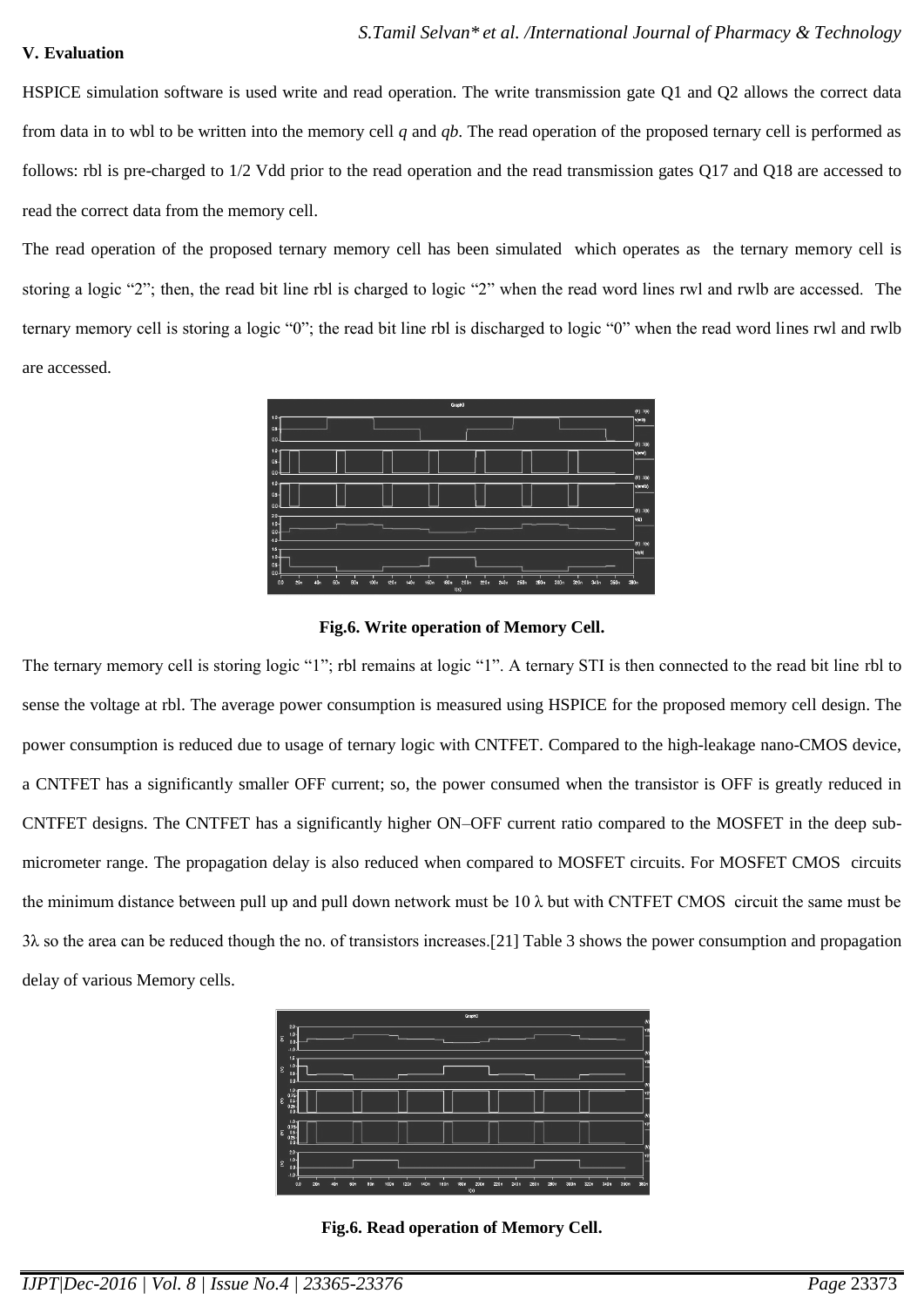## **V. Evaluation**

HSPICE simulation software is used write and read operation. The write transmission gate Q1 and Q2 allows the correct data from data in to wbl to be written into the memory cell *q* and *qb*. The read operation of the proposed ternary cell is performed as follows: rbl is pre-charged to 1/2 Vdd prior to the read operation and the read transmission gates Q17 and Q18 are accessed to read the correct data from the memory cell.

The read operation of the proposed ternary memory cell has been simulated which operates as the ternary memory cell is storing a logic "2"; then, the read bit line rbl is charged to logic "2" when the read word lines rwl and rwlb are accessed. The ternary memory cell is storing a logic "0"; the read bit line rbl is discharged to logic "0" when the read word lines rwl and rwlb are accessed.



## **Fig.6. Write operation of Memory Cell.**

The ternary memory cell is storing logic "1"; rbl remains at logic "1". A ternary STI is then connected to the read bit line rbl to sense the voltage at rbl. The average power consumption is measured using HSPICE for the proposed memory cell design. The power consumption is reduced due to usage of ternary logic with CNTFET. Compared to the high-leakage nano-CMOS device, a CNTFET has a significantly smaller OFF current; so, the power consumed when the transistor is OFF is greatly reduced in CNTFET designs. The CNTFET has a significantly higher ON–OFF current ratio compared to the MOSFET in the deep submicrometer range. The propagation delay is also reduced when compared to MOSFET circuits. For MOSFET CMOS circuits the minimum distance between pull up and pull down network must be  $10 \lambda$  but with CNTFET CMOS circuit the same must be 3λ so the area can be reduced though the no. of transistors increases.[21] Table 3 shows the power consumption and propagation delay of various Memory cells.

| GaphO                                                                                                                                                           | $\omega$ |
|-----------------------------------------------------------------------------------------------------------------------------------------------------------------|----------|
| $2.0 -$<br>п<br>lε<br>$\circ$<br>$-11$                                                                                                                          |          |
| 15.<br>п<br>$\epsilon$<br>0s<br>00                                                                                                                              |          |
| 1.0<br>$0.75$<br>$0.5$<br>$0.25$<br>$\epsilon$<br>$\circ$                                                                                                       | M        |
| $\frac{1.0}{0.78}$<br>$\epsilon$<br>025<br>$\alpha$                                                                                                             |          |
| 2.0 <sub>1</sub><br>H.<br>$\epsilon$<br>0.0<br>$-1.0$                                                                                                           |          |
| 100m<br>0.0<br>20n<br>120n<br><b>160m</b><br>2004<br>220n<br>240n<br>280 n<br>300n<br>60m<br>80n<br>140n<br>180n<br>260n<br>320n<br>340n<br>40n<br>350n<br>1(3) | 380n     |

**Fig.6. Read operation of Memory Cell.**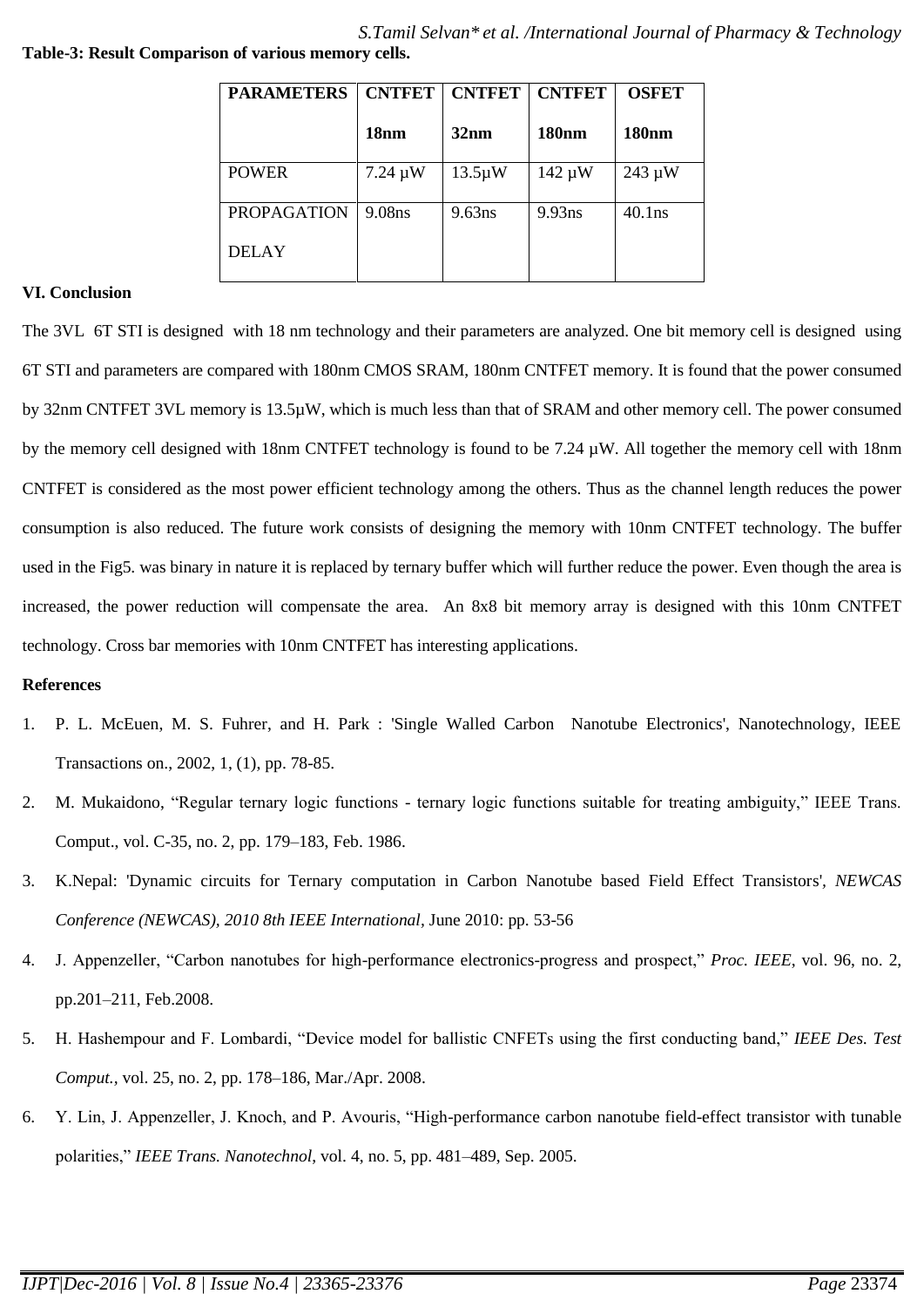| <b>PARAMETERS</b>  | <b>CNTFET</b>      | <b>CNTFET</b> | <b>CNTFET</b> | <b>OSFET</b> |
|--------------------|--------------------|---------------|---------------|--------------|
|                    | 18 <sub>nm</sub>   | 32nm          | <b>180nm</b>  | <b>180nm</b> |
| <b>POWER</b>       | $7.24 \mu W$       | $13.5 \mu W$  | $142 \mu W$   | $243 \mu W$  |
| <b>PROPAGATION</b> | 9.08 <sub>ns</sub> | 9.63ns        | 9.93ns        | $40.1$ ns    |
| <b>DELAY</b>       |                    |               |               |              |

## **VI. Conclusion**

The 3VL 6T STI is designed with 18 nm technology and their parameters are analyzed. One bit memory cell is designed using 6T STI and parameters are compared with 180nm CMOS SRAM, 180nm CNTFET memory. It is found that the power consumed by 32nm CNTFET 3VL memory is 13.5µW, which is much less than that of SRAM and other memory cell. The power consumed by the memory cell designed with 18nm CNTFET technology is found to be 7.24 µW. All together the memory cell with 18nm CNTFET is considered as the most power efficient technology among the others. Thus as the channel length reduces the power consumption is also reduced. The future work consists of designing the memory with 10nm CNTFET technology. The buffer used in the Fig5. was binary in nature it is replaced by ternary buffer which will further reduce the power. Even though the area is increased, the power reduction will compensate the area. An 8x8 bit memory array is designed with this 10nm CNTFET technology. Cross bar memories with 10nm CNTFET has interesting applications.

#### **References**

- 1. P. L. McEuen, M. S. Fuhrer, and H. Park : 'Single Walled Carbon Nanotube Electronics', Nanotechnology, IEEE Transactions on., 2002, 1, (1), pp. 78-85.
- 2. M. Mukaidono, "Regular ternary logic functions ternary logic functions suitable for treating ambiguity," IEEE Trans. Comput., vol. C-35, no. 2, pp. 179–183, Feb. 1986.
- 3. K.Nepal: 'Dynamic circuits for Ternary computation in Carbon Nanotube based Field Effect Transistors'*, NEWCAS Conference (NEWCAS), 2010 8th IEEE International,* June 2010: pp. 53-56
- 4. J. Appenzeller, "Carbon nanotubes for high-performance electronics-progress and prospect," *Proc. IEEE*, vol. 96, no. 2, pp.201–211, Feb.2008.
- 5. H. Hashempour and F. Lombardi, "Device model for ballistic CNFETs using the first conducting band," *IEEE Des. Test Comput.,* vol. 25, no. 2, pp. 178–186, Mar./Apr. 2008.
- 6. Y. Lin, J. Appenzeller, J. Knoch, and P. Avouris, "High-performance carbon nanotube field-effect transistor with tunable polarities," *IEEE Trans. Nanotechnol*, vol. 4, no. 5, pp. 481–489, Sep. 2005.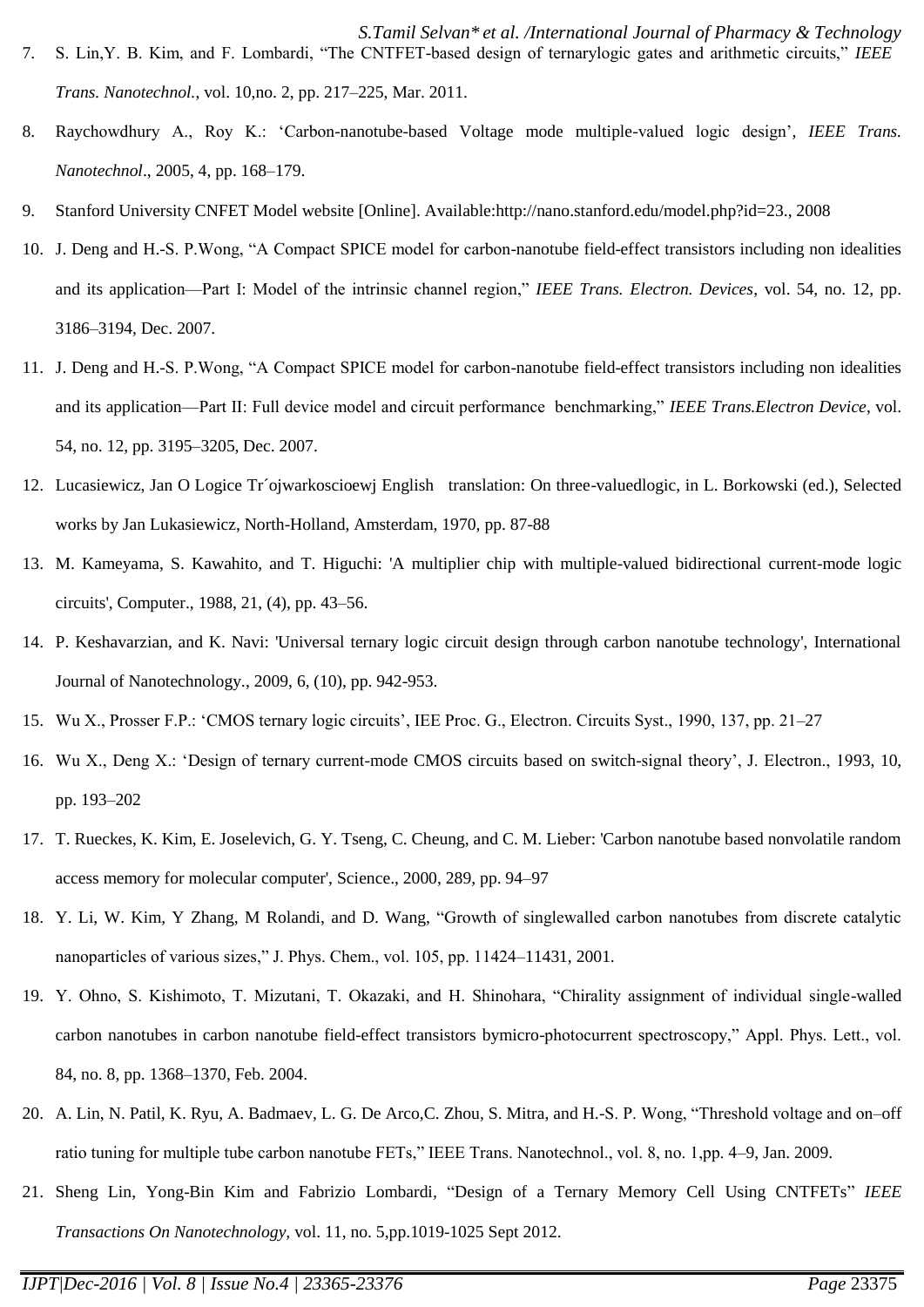- *S.Tamil Selvan\* et al. /International Journal of Pharmacy & Technology* 7. S. Lin, Y. B. Kim, and F. Lombardi, "The CNTFET-based design of ternarylogic gates and arithmetic circuits," IEEE *Trans. Nanotechnol.*, vol. 10,no. 2, pp. 217–225, Mar. 2011.
- 8. Raychowdhury A., Roy K.: ‗Carbon-nanotube-based Voltage mode multiple-valued logic design'*, IEEE Trans. Nanotechnol*., 2005, 4, pp. 168–179.
- 9. Stanford University CNFET Model website [Online]. Available:http://nano.stanford.edu/model.php?id=23., 2008
- 10. J. Deng and H.-S. P. Wong, "A Compact SPICE model for carbon-nanotube field-effect transistors including non idealities and its application—Part I: Model of the intrinsic channel region," IEEE Trans. Electron. Devices, vol. 54, no. 12, pp. 3186–3194, Dec. 2007.
- 11. J. Deng and H.-S. P. Wong, "A Compact SPICE model for carbon-nanotube field-effect transistors including non idealities and its application—Part II: Full device model and circuit performance benchmarking," *IEEE Trans.Electron Device*, vol. 54, no. 12, pp. 3195–3205, Dec. 2007.
- 12. Lucasiewicz, Jan O Logice Tr´ojwarkoscioewj English translation: On three-valuedlogic, in L. Borkowski (ed.), Selected works by Jan Lukasiewicz, North-Holland, Amsterdam, 1970, pp. 87-88
- 13. M. Kameyama, S. Kawahito, and T. Higuchi: 'A multiplier chip with multiple-valued bidirectional current-mode logic circuits', Computer., 1988, 21, (4), pp. 43–56.
- 14. P. Keshavarzian, and K. Navi: 'Universal ternary logic circuit design through carbon nanotube technology', International Journal of Nanotechnology., 2009, 6, (10), pp. 942-953.
- 15. Wu X., Prosser F.P.: ‗CMOS ternary logic circuits', IEE Proc. G., Electron. Circuits Syst., 1990, 137, pp. 21–27
- 16. Wu X., Deng X.: ‗Design of ternary current-mode CMOS circuits based on switch-signal theory', J. Electron., 1993, 10, pp. 193–202
- 17. T. Rueckes, K. Kim, E. Joselevich, G. Y. Tseng, C. Cheung, and C. M. Lieber: 'Carbon nanotube based nonvolatile random access memory for molecular computer', Science., 2000, 289, pp. 94–97
- 18. Y. Li, W. Kim, Y Zhang, M Rolandi, and D. Wang, "Growth of singlewalled carbon nanotubes from discrete catalytic nanoparticles of various sizes," J. Phys. Chem., vol. 105, pp. 11424–11431, 2001.
- 19. Y. Ohno, S. Kishimoto, T. Mizutani, T. Okazaki, and H. Shinohara, "Chirality assignment of individual single-walled carbon nanotubes in carbon nanotube field-effect transistors bymicro-photocurrent spectroscopy," Appl. Phys. Lett., vol. 84, no. 8, pp. 1368–1370, Feb. 2004.
- 20. A. Lin, N. Patil, K. Ryu, A. Badmaev, L. G. De Arco, C. Zhou, S. Mitra, and H.-S. P. Wong, "Threshold voltage and on–off ratio tuning for multiple tube carbon nanotube FETs," IEEE Trans. Nanotechnol., vol. 8, no. 1,pp. 4–9, Jan. 2009.
- 21. Sheng Lin, Yong-Bin Kim and Fabrizio Lombardi, "Design of a Ternary Memory Cell Using CNTFETs" IEEE *Transactions On Nanotechnology,* vol. 11, no. 5,pp.1019-1025 Sept 2012.